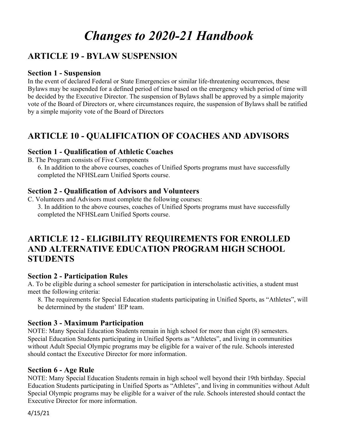# *Changes to 2020-21 Handbook*

## **ARTICLE 19 - BYLAW SUSPENSION**

### **Section 1 - Suspension**

In the event of declared Federal or State Emergencies or similar life-threatening occurrences, these Bylaws may be suspended for a defined period of time based on the emergency which period of time will be decided by the Executive Director. The suspension of Bylaws shall be approved by a simple majority vote of the Board of Directors or, where circumstances require, the suspension of Bylaws shall be ratified by a simple majority vote of the Board of Directors

# **ARTICLE 10 - QUALIFICATION OF COACHES AND ADVISORS**

### **Section 1 - Qualification of Athletic Coaches**

B. The Program consists of Five Components

6. In addition to the above courses, coaches of Unified Sports programs must have successfully completed the NFHSLearn Unified Sports course.

### **Section 2 - Qualification of Advisors and Volunteers**

C. Volunteers and Advisors must complete the following courses: 3. In addition to the above courses, coaches of Unified Sports programs must have successfully completed the NFHSLearn Unified Sports course.

# **ARTICLE 12 - ELIGIBILITY REQUIREMENTS FOR ENROLLED AND ALTERNATIVE EDUCATION PROGRAM HIGH SCHOOL STUDENTS**

### **Section 2 - Participation Rules**

A. To be eligible during a school semester for participation in interscholastic activities, a student must meet the following criteria:

8. The requirements for Special Education students participating in Unified Sports, as "Athletes", will be determined by the student' IEP team.

### **Section 3 - Maximum Participation**

NOTE: Many Special Education Students remain in high school for more than eight (8) semesters. Special Education Students participating in Unified Sports as "Athletes", and living in communities without Adult Special Olympic programs may be eligible for a waiver of the rule. Schools interested should contact the Executive Director for more information.

### **Section 6 - Age Rule**

NOTE: Many Special Education Students remain in high school well beyond their 19th birthday. Special Education Students participating in Unified Sports as "Athletes", and living in communities without Adult Special Olympic programs may be eligible for a waiver of the rule. Schools interested should contact the Executive Director for more information.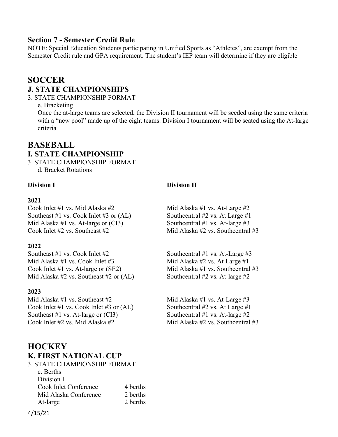### **Section 7 - Semester Credit Rule**

NOTE: Special Education Students participating in Unified Sports as "Athletes", are exempt from the Semester Credit rule and GPA requirement. The student's IEP team will determine if they are eligible

# **SOCCER J. STATE CHAMPIONSHIPS**

3. STATE CHAMPIONSHIP FORMAT

e. Bracketing

Once the at-large teams are selected, the Division II tournament will be seeded using the same criteria with a "new pool" made up of the eight teams. Division I tournament will be seated using the At-large criteria

### **BASEBALL I. STATE CHAMPIONSHIP**

3. STATE CHAMPIONSHIP FORMAT d. Bracket Rotations

### **2021**

Cook Inlet #1 vs. Mid Alaska #2 Mid Alaska #1 vs. At-Large #2<br>Southeast #1 vs. Cook Inlet #3 or (AL) Southeentral #2 vs. At Large #1 Southeast  $#1$  vs. Cook Inlet  $#3$  or  $(AL)$ Mid Alaska #1 vs. At-large or (CI3) Southcentral #1 vs. At-large #3 Cook Inlet  $\#2$  vs. Southeast  $\#2$  Mid Alaska  $\#2$  vs. Southcentral  $\#3$ 

### **2022**

Southeast #1 vs. Cook Inlet #2 Southcentral #1 vs. At-Large #3 Mid Alaska #1 vs. Cook Inlet #3 Mid Alaska #2 vs. At Large #1 Cook Inlet #1 vs. At-large or (SE2) Mid Alaska #1 vs. Southcentral #3<br>Mid Alaska #2 vs. Southeast #2 or (AL) Southcentral #2 vs. At-large #2 Mid Alaska #2 vs. Southeast #2 or  $(AL)$ 

### **2023**

Mid Alaska #1 vs. Southeast #2 Mid Alaska #1 vs. At-Large #3 Cook Inlet #1 vs. Cook Inlet #3 or (AL) Southcentral #2 vs. At Large #1 Southeast #1 vs. At-large or (CI3) Southcentral #1 vs. At-large #2 Cook Inlet #2 vs. Mid Alaska #2 Mid Alaska #2 vs. Southcentral #3

# **HOCKEY K. FIRST NATIONAL CUP**

| 3. STATE CHAMPIONSHIP FORMAT |          |
|------------------------------|----------|
| c. Berths                    |          |
| Division I                   |          |
| Cook Inlet Conference        | 4 berths |
| Mid Alaska Conference        | 2 berths |
| At-large                     | 2 berths |
|                              |          |

### **Division I Division II**